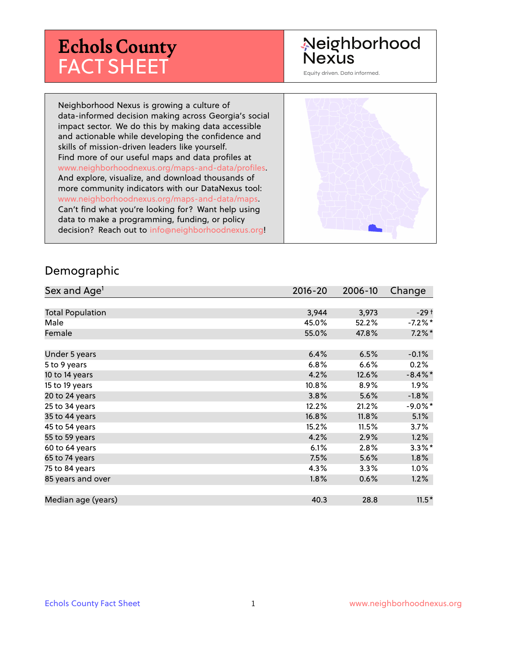# **Echols County** FACT SHEET

#### Neighborhood **Nexus**

Equity driven. Data informed.

Neighborhood Nexus is growing a culture of data-informed decision making across Georgia's social impact sector. We do this by making data accessible and actionable while developing the confidence and skills of mission-driven leaders like yourself. Find more of our useful maps and data profiles at www.neighborhoodnexus.org/maps-and-data/profiles. And explore, visualize, and download thousands of more community indicators with our DataNexus tool: www.neighborhoodnexus.org/maps-and-data/maps. Can't find what you're looking for? Want help using data to make a programming, funding, or policy decision? Reach out to [info@neighborhoodnexus.org!](mailto:info@neighborhoodnexus.org)



#### Demographic

| Sex and Age <sup>1</sup> | $2016 - 20$ | 2006-10 | Change     |
|--------------------------|-------------|---------|------------|
|                          |             |         |            |
| <b>Total Population</b>  | 3,944       | 3,973   | $-29+$     |
| Male                     | 45.0%       | 52.2%   | $-7.2\%$ * |
| Female                   | 55.0%       | 47.8%   | $7.2\%$ *  |
|                          |             |         |            |
| Under 5 years            | 6.4%        | 6.5%    | $-0.1\%$   |
| 5 to 9 years             | 6.8%        | 6.6%    | 0.2%       |
| 10 to 14 years           | 4.2%        | 12.6%   | $-8.4\%$ * |
| 15 to 19 years           | 10.8%       | 8.9%    | $1.9\%$    |
| 20 to 24 years           | 3.8%        | 5.6%    | $-1.8%$    |
| 25 to 34 years           | 12.2%       | 21.2%   | $-9.0\%$ * |
| 35 to 44 years           | 16.8%       | 11.8%   | 5.1%       |
| 45 to 54 years           | 15.2%       | 11.5%   | 3.7%       |
| 55 to 59 years           | 4.2%        | 2.9%    | 1.2%       |
| 60 to 64 years           | 6.1%        | 2.8%    | $3.3\%$ *  |
| 65 to 74 years           | 7.5%        | 5.6%    | $1.8\%$    |
| 75 to 84 years           | $4.3\%$     | 3.3%    | $1.0\%$    |
| 85 years and over        | 1.8%        | 0.6%    | 1.2%       |
|                          |             |         |            |
| Median age (years)       | 40.3        | 28.8    | $11.5*$    |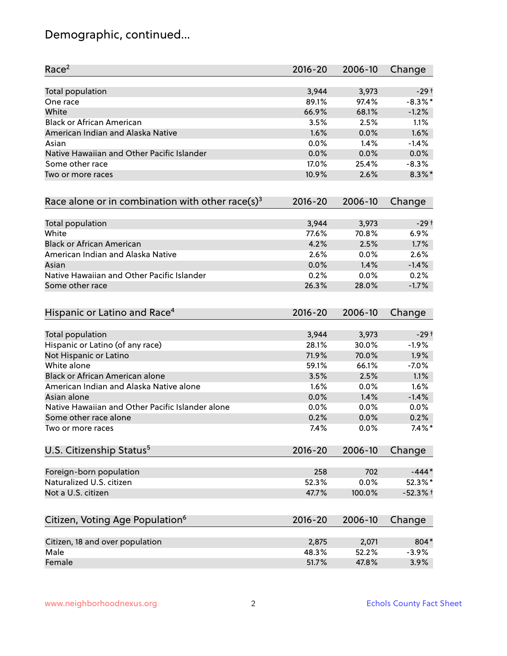# Demographic, continued...

| Race <sup>2</sup>                                            | $2016 - 20$ | 2006-10 | Change     |
|--------------------------------------------------------------|-------------|---------|------------|
| <b>Total population</b>                                      | 3,944       | 3,973   | $-29†$     |
| One race                                                     | 89.1%       | 97.4%   | $-8.3\%$ * |
| White                                                        | 66.9%       | 68.1%   | $-1.2%$    |
| <b>Black or African American</b>                             | 3.5%        | 2.5%    | 1.1%       |
| American Indian and Alaska Native                            | 1.6%        | 0.0%    | 1.6%       |
| Asian                                                        | 0.0%        | 1.4%    | $-1.4%$    |
| Native Hawaiian and Other Pacific Islander                   | 0.0%        | 0.0%    | 0.0%       |
| Some other race                                              | 17.0%       | 25.4%   | $-8.3%$    |
| Two or more races                                            | 10.9%       | 2.6%    | $8.3\%$ *  |
| Race alone or in combination with other race(s) <sup>3</sup> | $2016 - 20$ | 2006-10 | Change     |
| Total population                                             | 3,944       | 3,973   | $-29+$     |
| White                                                        | 77.6%       | 70.8%   | 6.9%       |
| <b>Black or African American</b>                             | 4.2%        | 2.5%    | 1.7%       |
| American Indian and Alaska Native                            | 2.6%        | 0.0%    | 2.6%       |
| Asian                                                        | 0.0%        | 1.4%    | $-1.4%$    |
| Native Hawaiian and Other Pacific Islander                   | 0.2%        | 0.0%    | 0.2%       |
| Some other race                                              | 26.3%       | 28.0%   | $-1.7%$    |
| Hispanic or Latino and Race <sup>4</sup>                     | $2016 - 20$ | 2006-10 | Change     |
| <b>Total population</b>                                      | 3,944       | 3,973   | $-29+$     |
| Hispanic or Latino (of any race)                             | 28.1%       | 30.0%   | $-1.9%$    |
| Not Hispanic or Latino                                       | 71.9%       | 70.0%   | 1.9%       |
| White alone                                                  | 59.1%       | 66.1%   | $-7.0%$    |
| Black or African American alone                              | 3.5%        | 2.5%    | 1.1%       |
| American Indian and Alaska Native alone                      | 1.6%        | 0.0%    | 1.6%       |
| Asian alone                                                  | 0.0%        | 1.4%    | $-1.4%$    |
| Native Hawaiian and Other Pacific Islander alone             | 0.0%        | 0.0%    | 0.0%       |
| Some other race alone                                        | 0.2%        | 0.0%    | 0.2%       |
| Two or more races                                            | 7.4%        | 0.0%    | $7.4\%$ *  |
| U.S. Citizenship Status <sup>5</sup>                         | $2016 - 20$ | 2006-10 | Change     |
| Foreign-born population                                      | 258         | 702     | $-444*$    |
| Naturalized U.S. citizen                                     | 52.3%       | 0.0%    | 52.3%*     |
| Not a U.S. citizen                                           | 47.7%       | 100.0%  | $-52.3%$ † |
| Citizen, Voting Age Population <sup>6</sup>                  | $2016 - 20$ | 2006-10 | Change     |
| Citizen, 18 and over population                              | 2,875       | 2,071   | 804*       |
| Male                                                         | 48.3%       | 52.2%   | $-3.9%$    |
| Female                                                       | 51.7%       | 47.8%   | 3.9%       |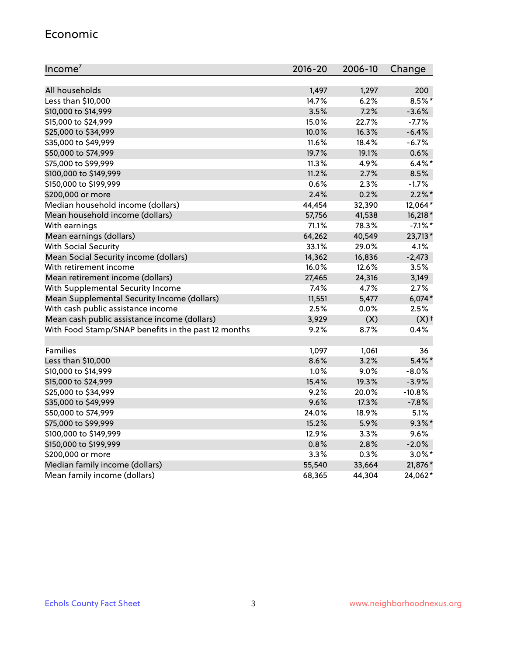#### Economic

| Income <sup>7</sup>                                 | $2016 - 20$ | 2006-10 | Change             |
|-----------------------------------------------------|-------------|---------|--------------------|
|                                                     |             |         |                    |
| All households                                      | 1,497       | 1,297   | 200                |
| Less than \$10,000                                  | 14.7%       | 6.2%    | 8.5%*              |
| \$10,000 to \$14,999                                | 3.5%        | 7.2%    | $-3.6%$            |
| \$15,000 to \$24,999                                | 15.0%       | 22.7%   | $-7.7%$            |
| \$25,000 to \$34,999                                | 10.0%       | 16.3%   | $-6.4%$            |
| \$35,000 to \$49,999                                | $11.6\%$    | 18.4%   | $-6.7%$            |
| \$50,000 to \$74,999                                | 19.7%       | 19.1%   | 0.6%               |
| \$75,000 to \$99,999                                | 11.3%       | 4.9%    | $6.4\%$ *          |
| \$100,000 to \$149,999                              | 11.2%       | 2.7%    | 8.5%               |
| \$150,000 to \$199,999                              | 0.6%        | 2.3%    | $-1.7%$            |
| \$200,000 or more                                   | 2.4%        | 0.2%    | $2.2\%$ *          |
| Median household income (dollars)                   | 44,454      | 32,390  | 12,064*            |
| Mean household income (dollars)                     | 57,756      | 41,538  | 16,218 *           |
| With earnings                                       | 71.1%       | 78.3%   | $-7.1\%$ *         |
| Mean earnings (dollars)                             | 64,262      | 40,549  | 23,713*            |
| <b>With Social Security</b>                         | 33.1%       | 29.0%   | 4.1%               |
| Mean Social Security income (dollars)               | 14,362      | 16,836  | $-2,473$           |
| With retirement income                              | 16.0%       | 12.6%   | 3.5%               |
| Mean retirement income (dollars)                    | 27,465      | 24,316  | 3,149              |
| With Supplemental Security Income                   | 7.4%        | 4.7%    | 2.7%               |
| Mean Supplemental Security Income (dollars)         | 11,551      | 5,477   | $6,074*$           |
| With cash public assistance income                  | 2.5%        | 0.0%    | 2.5%               |
| Mean cash public assistance income (dollars)        | 3,929       | (X)     | $(X)$ <sup>+</sup> |
| With Food Stamp/SNAP benefits in the past 12 months | 9.2%        | 8.7%    | 0.4%               |
|                                                     |             |         |                    |
| Families                                            | 1,097       | 1,061   | 36                 |
| Less than \$10,000                                  | 8.6%        | 3.2%    | $5.4\%$ *          |
| \$10,000 to \$14,999                                | 1.0%        | 9.0%    | $-8.0%$            |
| \$15,000 to \$24,999                                | 15.4%       | 19.3%   | $-3.9%$            |
| \$25,000 to \$34,999                                | 9.2%        | 20.0%   | $-10.8%$           |
| \$35,000 to \$49,999                                | 9.6%        | 17.3%   | $-7.8%$            |
| \$50,000 to \$74,999                                | 24.0%       | 18.9%   | 5.1%               |
| \$75,000 to \$99,999                                | 15.2%       | 5.9%    | $9.3\%$ *          |
| \$100,000 to \$149,999                              | 12.9%       | 3.3%    | 9.6%               |
| \$150,000 to \$199,999                              | 0.8%        | 2.8%    | $-2.0%$            |
| \$200,000 or more                                   | 3.3%        | 0.3%    | $3.0\%$ *          |
| Median family income (dollars)                      | 55,540      | 33,664  | 21,876*            |
| Mean family income (dollars)                        | 68,365      | 44,304  | 24,062*            |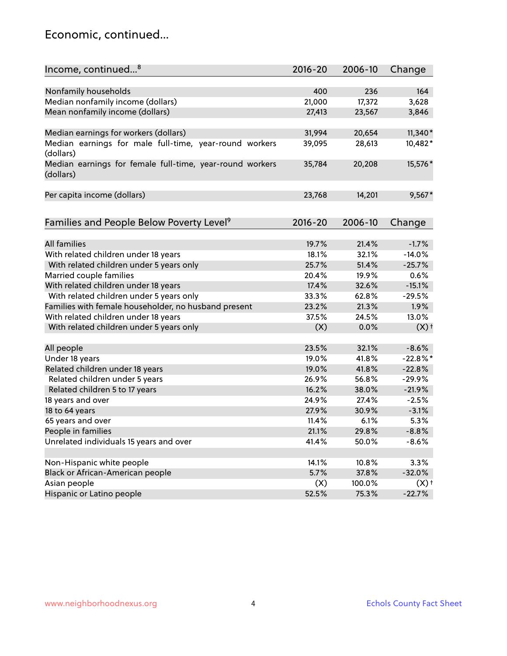#### Economic, continued...

| Income, continued <sup>8</sup>                                        | $2016 - 20$ | 2006-10 | Change             |
|-----------------------------------------------------------------------|-------------|---------|--------------------|
|                                                                       |             |         |                    |
| Nonfamily households                                                  | 400         | 236     | 164                |
| Median nonfamily income (dollars)                                     | 21,000      | 17,372  | 3,628              |
| Mean nonfamily income (dollars)                                       | 27,413      | 23,567  | 3,846              |
| Median earnings for workers (dollars)                                 | 31,994      | 20,654  | $11,340*$          |
| Median earnings for male full-time, year-round workers                | 39,095      | 28,613  | 10,482*            |
| (dollars)                                                             |             |         |                    |
| Median earnings for female full-time, year-round workers<br>(dollars) | 35,784      | 20,208  | 15,576 *           |
| Per capita income (dollars)                                           | 23,768      | 14,201  | $9,567*$           |
|                                                                       |             |         |                    |
| Families and People Below Poverty Level <sup>9</sup>                  | 2016-20     | 2006-10 | Change             |
|                                                                       |             |         |                    |
| <b>All families</b>                                                   | 19.7%       | 21.4%   | $-1.7%$            |
| With related children under 18 years                                  | 18.1%       | 32.1%   | $-14.0%$           |
| With related children under 5 years only                              | 25.7%       | 51.4%   | $-25.7%$           |
| Married couple families                                               | 20.4%       | 19.9%   | 0.6%               |
| With related children under 18 years                                  | 17.4%       | 32.6%   | $-15.1%$           |
| With related children under 5 years only                              | 33.3%       | 62.8%   | $-29.5%$           |
| Families with female householder, no husband present                  | 23.2%       | 21.3%   | 1.9%               |
| With related children under 18 years                                  | 37.5%       | 24.5%   | 13.0%              |
| With related children under 5 years only                              | (X)         | 0.0%    | $(X)$ <sup>+</sup> |
| All people                                                            | 23.5%       | 32.1%   | $-8.6%$            |
| Under 18 years                                                        | 19.0%       | 41.8%   | $-22.8%$ *         |
| Related children under 18 years                                       | 19.0%       | 41.8%   | $-22.8%$           |
| Related children under 5 years                                        | 26.9%       | 56.8%   | $-29.9%$           |
| Related children 5 to 17 years                                        | 16.2%       | 38.0%   | $-21.9%$           |
| 18 years and over                                                     | 24.9%       | 27.4%   | $-2.5%$            |
|                                                                       |             |         |                    |
| 18 to 64 years                                                        | 27.9%       | 30.9%   | $-3.1%$            |
| 65 years and over                                                     | 11.4%       | 6.1%    | 5.3%               |
| People in families                                                    | 21.1%       | 29.8%   | $-8.8%$            |
| Unrelated individuals 15 years and over                               | 41.4%       | 50.0%   | $-8.6%$            |
|                                                                       |             |         |                    |
| Non-Hispanic white people                                             | 14.1%       | 10.8%   | 3.3%               |
| Black or African-American people                                      | 5.7%        | 37.8%   | $-32.0%$           |
| Asian people                                                          | (X)         | 100.0%  | $(X)$ +            |
| Hispanic or Latino people                                             | 52.5%       | 75.3%   | $-22.7%$           |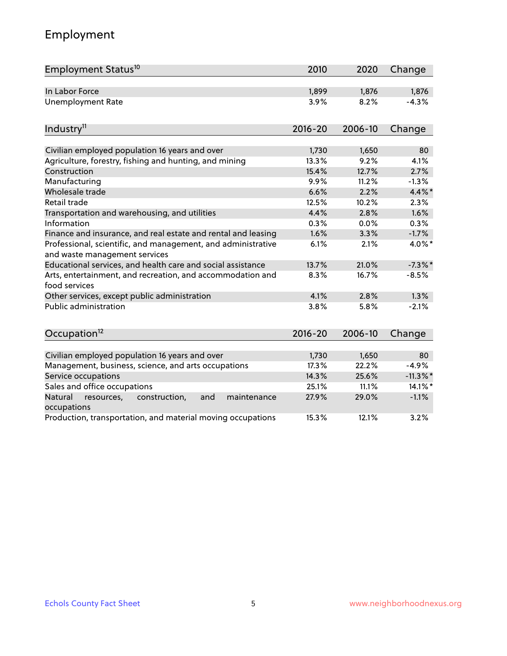# Employment

| Employment Status <sup>10</sup>                                                               | 2010        | 2020    | Change      |
|-----------------------------------------------------------------------------------------------|-------------|---------|-------------|
| In Labor Force                                                                                | 1,899       | 1,876   | 1,876       |
| <b>Unemployment Rate</b>                                                                      | 3.9%        | 8.2%    | $-4.3%$     |
| Industry <sup>11</sup>                                                                        | $2016 - 20$ | 2006-10 | Change      |
| Civilian employed population 16 years and over                                                | 1,730       | 1,650   | 80          |
| Agriculture, forestry, fishing and hunting, and mining                                        | 13.3%       | 9.2%    | 4.1%        |
| Construction                                                                                  | 15.4%       | 12.7%   | 2.7%        |
| Manufacturing                                                                                 | 9.9%        | 11.2%   | $-1.3%$     |
| Wholesale trade                                                                               | 6.6%        | 2.2%    | $4.4\%$ *   |
| Retail trade                                                                                  | 12.5%       | 10.2%   | 2.3%        |
| Transportation and warehousing, and utilities                                                 | 4.4%        | 2.8%    | 1.6%        |
| Information                                                                                   | 0.3%        | 0.0%    | 0.3%        |
| Finance and insurance, and real estate and rental and leasing                                 | 1.6%        | 3.3%    | $-1.7%$     |
| Professional, scientific, and management, and administrative<br>and waste management services | 6.1%        | 2.1%    | 4.0%*       |
| Educational services, and health care and social assistance                                   | 13.7%       | 21.0%   | $-7.3\%$ *  |
| Arts, entertainment, and recreation, and accommodation and<br>food services                   | 8.3%        | 16.7%   | $-8.5%$     |
| Other services, except public administration                                                  | 4.1%        | 2.8%    | 1.3%        |
| Public administration                                                                         | 3.8%        | 5.8%    | $-2.1%$     |
| Occupation <sup>12</sup>                                                                      | $2016 - 20$ | 2006-10 | Change      |
|                                                                                               |             |         |             |
| Civilian employed population 16 years and over                                                | 1,730       | 1,650   | 80          |
| Management, business, science, and arts occupations                                           | 17.3%       | 22.2%   | $-4.9%$     |
| Service occupations                                                                           | 14.3%       | 25.6%   | $-11.3\%$ * |
| Sales and office occupations                                                                  | 25.1%       | 11.1%   | 14.1%*      |
| Natural<br>construction,<br>resources,<br>and<br>maintenance<br>occupations                   | 27.9%       | 29.0%   | $-1.1%$     |
| Production, transportation, and material moving occupations                                   | 15.3%       | 12.1%   | 3.2%        |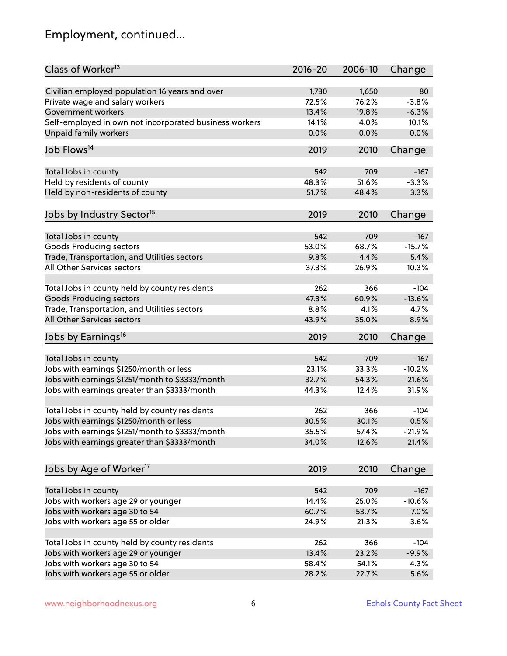# Employment, continued...

| Class of Worker <sup>13</sup>                          | $2016 - 20$ | 2006-10 | Change   |
|--------------------------------------------------------|-------------|---------|----------|
| Civilian employed population 16 years and over         | 1,730       | 1,650   | 80       |
| Private wage and salary workers                        | 72.5%       | 76.2%   | $-3.8%$  |
| Government workers                                     | 13.4%       | 19.8%   | $-6.3%$  |
| Self-employed in own not incorporated business workers | 14.1%       | 4.0%    | 10.1%    |
| Unpaid family workers                                  | 0.0%        | 0.0%    | 0.0%     |
|                                                        |             |         |          |
| Job Flows <sup>14</sup>                                | 2019        | 2010    | Change   |
| Total Jobs in county                                   | 542         | 709     | $-167$   |
| Held by residents of county                            | 48.3%       | 51.6%   | $-3.3%$  |
| Held by non-residents of county                        | 51.7%       | 48.4%   | 3.3%     |
|                                                        |             |         |          |
| Jobs by Industry Sector <sup>15</sup>                  | 2019        | 2010    | Change   |
| Total Jobs in county                                   | 542         | 709     | $-167$   |
| Goods Producing sectors                                | 53.0%       | 68.7%   | $-15.7%$ |
| Trade, Transportation, and Utilities sectors           | 9.8%        | 4.4%    | 5.4%     |
| All Other Services sectors                             | 37.3%       | 26.9%   | 10.3%    |
|                                                        |             |         |          |
| Total Jobs in county held by county residents          | 262         | 366     | $-104$   |
| <b>Goods Producing sectors</b>                         | 47.3%       | 60.9%   | $-13.6%$ |
| Trade, Transportation, and Utilities sectors           | 8.8%        | 4.1%    | 4.7%     |
| All Other Services sectors                             | 43.9%       | 35.0%   | 8.9%     |
| Jobs by Earnings <sup>16</sup>                         | 2019        | 2010    | Change   |
|                                                        |             |         | $-167$   |
| Total Jobs in county                                   | 542         | 709     |          |
| Jobs with earnings \$1250/month or less                | 23.1%       | 33.3%   | $-10.2%$ |
| Jobs with earnings \$1251/month to \$3333/month        | 32.7%       | 54.3%   | $-21.6%$ |
| Jobs with earnings greater than \$3333/month           | 44.3%       | 12.4%   | 31.9%    |
| Total Jobs in county held by county residents          | 262         | 366     | $-104$   |
| Jobs with earnings \$1250/month or less                | 30.5%       | 30.1%   | 0.5%     |
| Jobs with earnings \$1251/month to \$3333/month        | 35.5%       | 57.4%   | $-21.9%$ |
| Jobs with earnings greater than \$3333/month           | 34.0%       | 12.6%   | 21.4%    |
|                                                        |             |         |          |
| Jobs by Age of Worker <sup>17</sup>                    | 2019        | 2010    | Change   |
| Total Jobs in county                                   | 542         | 709     | $-167$   |
| Jobs with workers age 29 or younger                    | 14.4%       | 25.0%   | $-10.6%$ |
| Jobs with workers age 30 to 54                         | 60.7%       | 53.7%   | 7.0%     |
| Jobs with workers age 55 or older                      | 24.9%       | 21.3%   | 3.6%     |
|                                                        |             |         |          |
| Total Jobs in county held by county residents          | 262         | 366     | $-104$   |
| Jobs with workers age 29 or younger                    | 13.4%       | 23.2%   | $-9.9%$  |
| Jobs with workers age 30 to 54                         | 58.4%       | 54.1%   | 4.3%     |
| Jobs with workers age 55 or older                      | 28.2%       | 22.7%   | 5.6%     |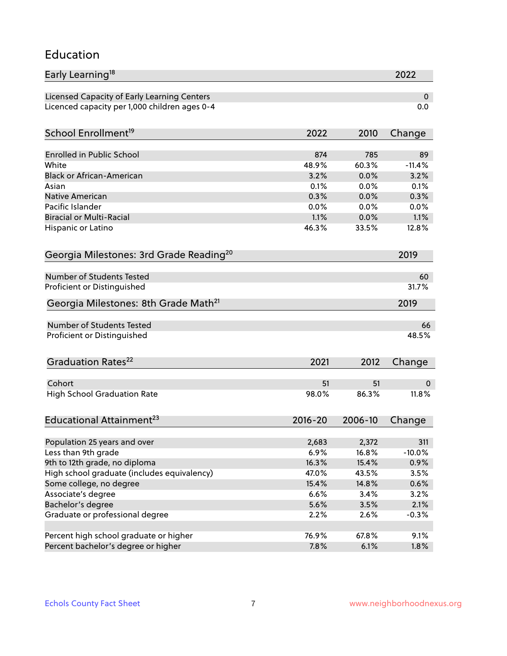#### Education

| Early Learning <sup>18</sup>                        |               |              | 2022           |
|-----------------------------------------------------|---------------|--------------|----------------|
| Licensed Capacity of Early Learning Centers         |               |              | 0              |
| Licenced capacity per 1,000 children ages 0-4       |               |              | 0.0            |
| School Enrollment <sup>19</sup>                     | 2022          | 2010         | Change         |
|                                                     |               |              |                |
| <b>Enrolled in Public School</b><br>White           | 874           | 785<br>60.3% | 89<br>$-11.4%$ |
| <b>Black or African-American</b>                    | 48.9%<br>3.2% | 0.0%         | 3.2%           |
| Asian                                               | 0.1%          | 0.0%         | 0.1%           |
| <b>Native American</b>                              | 0.3%          | 0.0%         | 0.3%           |
| Pacific Islander                                    | 0.0%          | 0.0%         | 0.0%           |
| <b>Biracial or Multi-Racial</b>                     | 1.1%          | 0.0%         | 1.1%           |
| Hispanic or Latino                                  | 46.3%         | 33.5%        | 12.8%          |
| Georgia Milestones: 3rd Grade Reading <sup>20</sup> |               |              | 2019           |
|                                                     |               |              |                |
| Number of Students Tested                           |               |              | 60             |
| Proficient or Distinguished                         |               |              | 31.7%          |
| Georgia Milestones: 8th Grade Math <sup>21</sup>    |               |              | 2019           |
| <b>Number of Students Tested</b>                    |               |              | 66             |
| Proficient or Distinguished                         |               |              | 48.5%          |
| Graduation Rates <sup>22</sup>                      | 2021          | 2012         | Change         |
| Cohort                                              | 51            | 51           | 0              |
| <b>High School Graduation Rate</b>                  | 98.0%         | 86.3%        | 11.8%          |
| Educational Attainment <sup>23</sup>                | $2016 - 20$   | 2006-10      | Change         |
|                                                     |               |              |                |
| Population 25 years and over                        | 2,683         | 2,372        | 311            |
| Less than 9th grade                                 | 6.9%          | 16.8%        | $-10.0%$       |
| 9th to 12th grade, no diploma                       | 16.3%         | 15.4%        | 0.9%           |
| High school graduate (includes equivalency)         | 47.0%         | 43.5%        | 3.5%           |
| Some college, no degree                             | 15.4%         | 14.8%        | 0.6%           |
| Associate's degree                                  | 6.6%          | 3.4%         | 3.2%           |
| Bachelor's degree                                   | 5.6%          | 3.5%         | 2.1%           |
| Graduate or professional degree                     | 2.2%          | 2.6%         | $-0.3%$        |
| Percent high school graduate or higher              | 76.9%         | 67.8%        | 9.1%           |
| Percent bachelor's degree or higher                 | 7.8%          | 6.1%         | 1.8%           |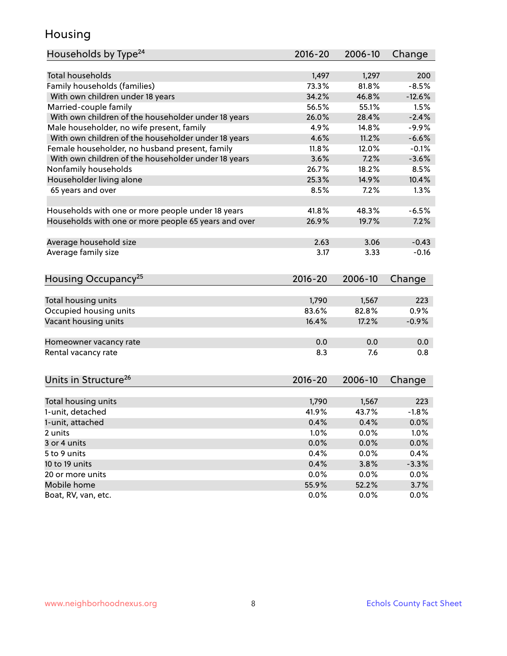#### Housing

| Households by Type <sup>24</sup>                     | 2016-20       | 2006-10 | Change       |
|------------------------------------------------------|---------------|---------|--------------|
|                                                      |               |         |              |
| <b>Total households</b>                              | 1,497         | 1,297   | 200          |
| Family households (families)                         | 73.3%         | 81.8%   | $-8.5%$      |
| With own children under 18 years                     | 34.2%         | 46.8%   | $-12.6%$     |
| Married-couple family                                | 56.5%         | 55.1%   | 1.5%         |
| With own children of the householder under 18 years  | 26.0%         | 28.4%   | $-2.4%$      |
| Male householder, no wife present, family            | 4.9%          | 14.8%   | $-9.9%$      |
| With own children of the householder under 18 years  | 4.6%          | 11.2%   | $-6.6%$      |
| Female householder, no husband present, family       | 11.8%         | 12.0%   | $-0.1%$      |
| With own children of the householder under 18 years  | 3.6%          | 7.2%    | $-3.6%$      |
| Nonfamily households                                 | 26.7%         | 18.2%   | 8.5%         |
| Householder living alone                             | 25.3%         | 14.9%   | 10.4%        |
| 65 years and over                                    | 8.5%          | 7.2%    | 1.3%         |
|                                                      |               |         |              |
| Households with one or more people under 18 years    | 41.8%         | 48.3%   | $-6.5%$      |
| Households with one or more people 65 years and over | 26.9%         | 19.7%   | 7.2%         |
|                                                      |               |         |              |
| Average household size                               | 2.63          | 3.06    | $-0.43$      |
| Average family size                                  | 3.17          | 3.33    | $-0.16$      |
|                                                      |               |         |              |
|                                                      |               |         |              |
| Housing Occupancy <sup>25</sup>                      | $2016 - 20$   | 2006-10 | Change       |
|                                                      |               |         |              |
|                                                      |               |         |              |
| Total housing units                                  | 1,790         | 1,567   | 223          |
| Occupied housing units                               | 83.6%         | 82.8%   | 0.9%         |
| Vacant housing units                                 | 16.4%         | 17.2%   | $-0.9%$      |
|                                                      |               |         |              |
| Homeowner vacancy rate                               | 0.0           | 0.0     | 0.0          |
| Rental vacancy rate                                  | 8.3           | 7.6     | 0.8          |
|                                                      |               |         |              |
| Units in Structure <sup>26</sup>                     | $2016 - 20$   | 2006-10 | Change       |
|                                                      |               |         |              |
| Total housing units                                  | 1,790         | 1,567   | 223          |
| 1-unit, detached                                     | 41.9%         | 43.7%   | $-1.8%$      |
| 1-unit, attached                                     | 0.4%          | 0.4%    | 0.0%         |
| 2 units                                              | 1.0%          | 0.0%    | 1.0%         |
| 3 or 4 units                                         | 0.0%          | 0.0%    | 0.0%         |
| 5 to 9 units                                         | 0.4%          | 0.0%    | 0.4%         |
| 10 to 19 units                                       | 0.4%          | 3.8%    | $-3.3%$      |
| 20 or more units                                     | 0.0%          | 0.0%    | 0.0%         |
| Mobile home<br>Boat, RV, van, etc.                   | 55.9%<br>0.0% | 52.2%   | 3.7%<br>0.0% |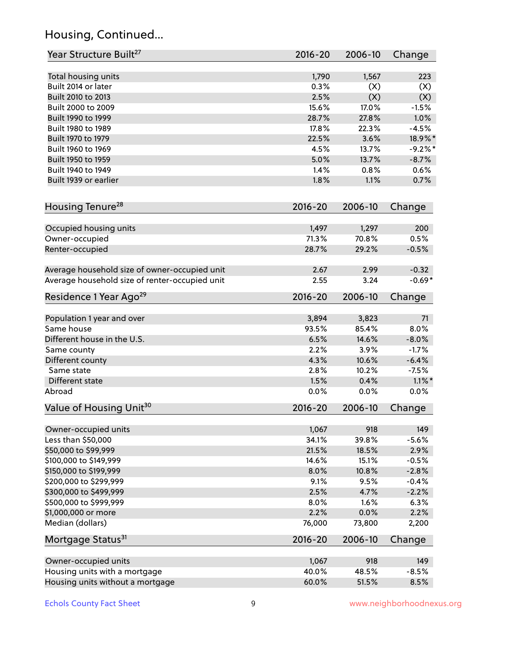# Housing, Continued...

| Year Structure Built <sup>27</sup>             | 2016-20     | 2006-10 | Change     |
|------------------------------------------------|-------------|---------|------------|
|                                                |             |         |            |
| Total housing units                            | 1,790       | 1,567   | 223        |
| Built 2014 or later                            | 0.3%        | (X)     | (X)        |
| Built 2010 to 2013                             | 2.5%        | (X)     | (X)        |
| Built 2000 to 2009                             | 15.6%       | 17.0%   | $-1.5%$    |
| Built 1990 to 1999                             | 28.7%       | 27.8%   | 1.0%       |
| Built 1980 to 1989                             | 17.8%       | 22.3%   | $-4.5%$    |
| Built 1970 to 1979                             | 22.5%       | 3.6%    | 18.9%*     |
| Built 1960 to 1969                             | 4.5%        | 13.7%   | $-9.2\%$ * |
| Built 1950 to 1959                             | 5.0%        | 13.7%   | $-8.7%$    |
| Built 1940 to 1949                             | 1.4%        | 0.8%    | 0.6%       |
| Built 1939 or earlier                          | 1.8%        | 1.1%    | 0.7%       |
| Housing Tenure <sup>28</sup>                   | $2016 - 20$ | 2006-10 | Change     |
| Occupied housing units                         | 1,497       | 1,297   | 200        |
| Owner-occupied                                 | 71.3%       | 70.8%   | 0.5%       |
| Renter-occupied                                | 28.7%       | 29.2%   | $-0.5%$    |
|                                                |             |         |            |
| Average household size of owner-occupied unit  | 2.67        | 2.99    | $-0.32$    |
| Average household size of renter-occupied unit | 2.55        | 3.24    | $-0.69*$   |
| Residence 1 Year Ago <sup>29</sup>             | 2016-20     | 2006-10 | Change     |
|                                                |             |         |            |
| Population 1 year and over                     | 3,894       | 3,823   | 71         |
| Same house                                     | 93.5%       | 85.4%   | 8.0%       |
| Different house in the U.S.                    | 6.5%        | 14.6%   | $-8.0%$    |
| Same county                                    | 2.2%        | 3.9%    | $-1.7%$    |
| Different county                               | 4.3%        | 10.6%   | $-6.4%$    |
| Same state                                     | 2.8%        | 10.2%   | $-7.5%$    |
| Different state                                | 1.5%        | 0.4%    | $1.1\%$ *  |
| Abroad                                         | 0.0%        | 0.0%    | 0.0%       |
| Value of Housing Unit <sup>30</sup>            | 2016-20     | 2006-10 | Change     |
| Owner-occupied units                           | 1,067       | 918     | 149        |
| Less than \$50,000                             | 34.1%       | 39.8%   | $-5.6%$    |
| \$50,000 to \$99,999                           | 21.5%       | 18.5%   | 2.9%       |
| \$100,000 to \$149,999                         | 14.6%       | 15.1%   | $-0.5%$    |
| \$150,000 to \$199,999                         | 8.0%        | 10.8%   | $-2.8%$    |
| \$200,000 to \$299,999                         | 9.1%        | 9.5%    | $-0.4%$    |
| \$300,000 to \$499,999                         | 2.5%        | 4.7%    | $-2.2%$    |
| \$500,000 to \$999,999                         | 8.0%        | 1.6%    | 6.3%       |
| \$1,000,000 or more                            | 2.2%        | 0.0%    | 2.2%       |
| Median (dollars)                               | 76,000      | 73,800  | 2,200      |
| Mortgage Status <sup>31</sup>                  | $2016 - 20$ | 2006-10 | Change     |
|                                                |             |         |            |
| Owner-occupied units                           | 1,067       | 918     | 149        |
| Housing units with a mortgage                  | 40.0%       | 48.5%   | $-8.5%$    |
| Housing units without a mortgage               | 60.0%       | 51.5%   | 8.5%       |
|                                                |             |         |            |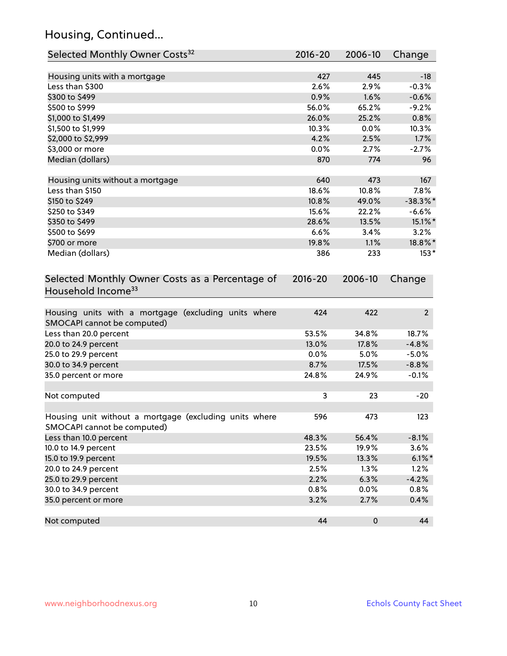# Housing, Continued...

| Selected Monthly Owner Costs <sup>32</sup>                                            | 2016-20 | 2006-10   | Change         |
|---------------------------------------------------------------------------------------|---------|-----------|----------------|
| Housing units with a mortgage                                                         | 427     | 445       | $-18$          |
| Less than \$300                                                                       | 2.6%    | 2.9%      | $-0.3%$        |
| \$300 to \$499                                                                        | 0.9%    | 1.6%      | $-0.6%$        |
| \$500 to \$999                                                                        | 56.0%   | 65.2%     | $-9.2%$        |
| \$1,000 to \$1,499                                                                    | 26.0%   | 25.2%     | 0.8%           |
| \$1,500 to \$1,999                                                                    | 10.3%   | 0.0%      | 10.3%          |
| \$2,000 to \$2,999                                                                    | 4.2%    | 2.5%      | 1.7%           |
| \$3,000 or more                                                                       | 0.0%    | 2.7%      | $-2.7%$        |
| Median (dollars)                                                                      | 870     | 774       | 96             |
| Housing units without a mortgage                                                      | 640     | 473       | 167            |
| Less than \$150                                                                       | 18.6%   | 10.8%     | 7.8%           |
| \$150 to \$249                                                                        | 10.8%   | 49.0%     | $-38.3%$       |
| \$250 to \$349                                                                        | 15.6%   | 22.2%     | $-6.6%$        |
| \$350 to \$499                                                                        | 28.6%   | 13.5%     | 15.1%*         |
| \$500 to \$699                                                                        | 6.6%    | 3.4%      | 3.2%           |
| \$700 or more                                                                         | 19.8%   | 1.1%      | 18.8%*         |
| Median (dollars)                                                                      | 386     | 233       | $153*$         |
| Household Income <sup>33</sup>                                                        |         |           |                |
| Housing units with a mortgage (excluding units where<br>SMOCAPI cannot be computed)   | 424     | 422       | $\overline{2}$ |
| Less than 20.0 percent                                                                | 53.5%   | 34.8%     | 18.7%          |
| 20.0 to 24.9 percent                                                                  | 13.0%   | 17.8%     | $-4.8%$        |
| 25.0 to 29.9 percent                                                                  | 0.0%    | 5.0%      | $-5.0%$        |
| 30.0 to 34.9 percent                                                                  | 8.7%    | 17.5%     | $-8.8%$        |
| 35.0 percent or more                                                                  | 24.8%   | 24.9%     | $-0.1%$        |
| Not computed                                                                          | 3       | 23        | $-20$          |
| Housing unit without a mortgage (excluding units where<br>SMOCAPI cannot be computed) | 596     | 473       | 123            |
| Less than 10.0 percent                                                                | 48.3%   | 56.4%     | $-8.1%$        |
| 10.0 to 14.9 percent                                                                  | 23.5%   | 19.9%     | 3.6%           |
| 15.0 to 19.9 percent                                                                  | 19.5%   | 13.3%     | $6.1\%$ *      |
| 20.0 to 24.9 percent                                                                  | 2.5%    | 1.3%      | 1.2%           |
| 25.0 to 29.9 percent                                                                  | 2.2%    | 6.3%      | $-4.2%$        |
| 30.0 to 34.9 percent                                                                  | 0.8%    | 0.0%      | 0.8%           |
| 35.0 percent or more                                                                  | 3.2%    | 2.7%      | 0.4%           |
| Not computed                                                                          | 44      | $\pmb{0}$ | 44             |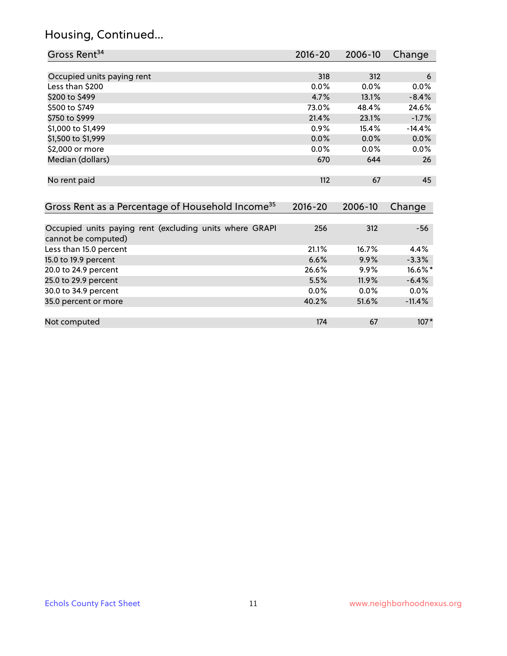#### Housing, Continued...

| Gross Rent <sup>34</sup>                                     | $2016 - 20$ | 2006-10 | Change   |
|--------------------------------------------------------------|-------------|---------|----------|
|                                                              |             |         |          |
| Occupied units paying rent                                   | 318         | 312     | 6        |
| Less than \$200                                              | 0.0%        | 0.0%    | 0.0%     |
| \$200 to \$499                                               | 4.7%        | 13.1%   | $-8.4%$  |
| \$500 to \$749                                               | 73.0%       | 48.4%   | 24.6%    |
| \$750 to \$999                                               | 21.4%       | 23.1%   | $-1.7%$  |
| \$1,000 to \$1,499                                           | 0.9%        | 15.4%   | $-14.4%$ |
| \$1,500 to \$1,999                                           | 0.0%        | 0.0%    | 0.0%     |
| \$2,000 or more                                              | $0.0\%$     | $0.0\%$ | 0.0%     |
| Median (dollars)                                             | 670         | 644     | 26       |
|                                                              |             |         |          |
| No rent paid                                                 | 112         | 67      | 45       |
|                                                              |             |         |          |
| Gross Rent as a Percentage of Household Income <sup>35</sup> | $2016 - 20$ | 2006-10 | Change   |
|                                                              |             |         |          |
| Occupied units paying rent (excluding units where GRAPI      | 256         | 312     | $-56$    |
| cannot be computed)                                          |             |         |          |
| Less than 15.0 percent                                       | 21.1%       | 16.7%   | 4.4%     |
| 15.0 to 19.9 percent                                         | 6.6%        | 9.9%    | $-3.3%$  |
| 20.0 to 24.9 percent                                         | 26.6%       | $9.9\%$ | 16.6%*   |
| 25.0 to 29.9 percent                                         | 5.5%        | 11.9%   | $-6.4%$  |
| 30.0 to 34.9 percent                                         | 0.0%        | 0.0%    | $0.0\%$  |
| 35.0 percent or more                                         | 40.2%       | 51.6%   | $-11.4%$ |

Not computed and the computed in the computed of the computed in the computed in the computed in the computed in the computed in the computed in the computed in the computed in the computed in the computed in the computed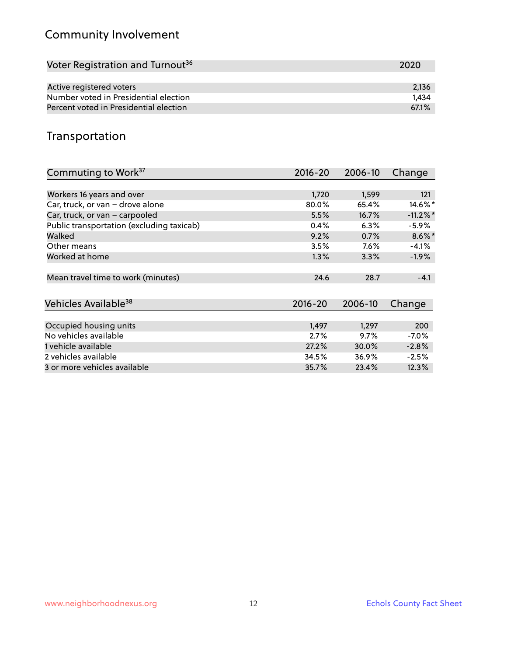# Community Involvement

| Voter Registration and Turnout <sup>36</sup> | 2020  |
|----------------------------------------------|-------|
|                                              |       |
| Active registered voters                     | 2,136 |
| Number voted in Presidential election        | 1.434 |
| Percent voted in Presidential election       | 67.1% |

#### Transportation

| Commuting to Work <sup>37</sup>           | 2016-20 | 2006-10 | Change      |
|-------------------------------------------|---------|---------|-------------|
|                                           |         |         |             |
| Workers 16 years and over                 | 1,720   | 1,599   | 121         |
| Car, truck, or van - drove alone          | 80.0%   | 65.4%   | 14.6%*      |
| Car, truck, or van - carpooled            | 5.5%    | 16.7%   | $-11.2\%$ * |
| Public transportation (excluding taxicab) | 0.4%    | 6.3%    | $-5.9\%$    |
| Walked                                    | 9.2%    | 0.7%    | $8.6\%$ *   |
| Other means                               | 3.5%    | $7.6\%$ | $-4.1%$     |
| Worked at home                            | 1.3%    | 3.3%    | $-1.9%$     |
|                                           |         |         |             |
| Mean travel time to work (minutes)        | 24.6    | 28.7    | $-4.1$      |
|                                           |         |         |             |
| Vehicles Available <sup>38</sup>          | 2016-20 | 2006-10 | Change      |
|                                           |         |         |             |
| Occupied housing units                    | 1,497   | 1,297   | 200         |
| No vehicles available                     | 2.7%    | 9.7%    | $-7.0%$     |
| 1 vehicle available                       | 27.2%   | 30.0%   | $-2.8%$     |
| 2 vehicles available                      | 34.5%   | 36.9%   | $-2.5%$     |
| 3 or more vehicles available              | 35.7%   | 23.4%   | 12.3%       |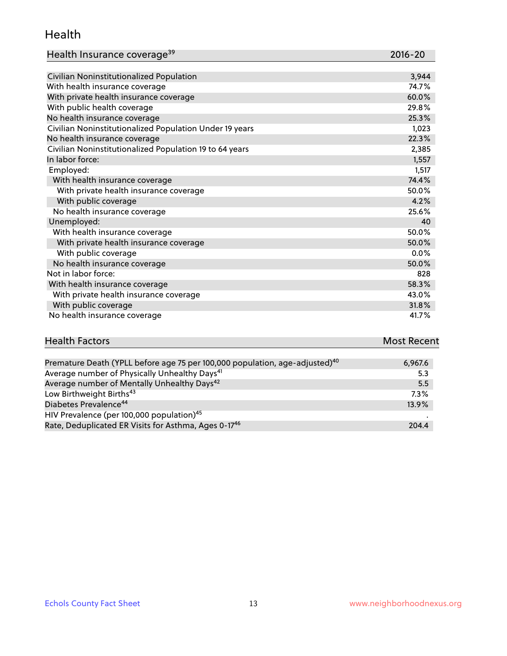#### Health

| Health Insurance coverage <sup>39</sup> | 2016-20 |
|-----------------------------------------|---------|
|-----------------------------------------|---------|

| Civilian Noninstitutionalized Population                | 3,944   |
|---------------------------------------------------------|---------|
| With health insurance coverage                          | 74.7%   |
| With private health insurance coverage                  | 60.0%   |
| With public health coverage                             | 29.8%   |
| No health insurance coverage                            | 25.3%   |
| Civilian Noninstitutionalized Population Under 19 years | 1,023   |
| No health insurance coverage                            | 22.3%   |
| Civilian Noninstitutionalized Population 19 to 64 years | 2,385   |
| In labor force:                                         | 1,557   |
| Employed:                                               | 1,517   |
| With health insurance coverage                          | 74.4%   |
| With private health insurance coverage                  | 50.0%   |
| With public coverage                                    | 4.2%    |
| No health insurance coverage                            | 25.6%   |
| Unemployed:                                             | 40      |
| With health insurance coverage                          | 50.0%   |
| With private health insurance coverage                  | 50.0%   |
| With public coverage                                    | $0.0\%$ |
| No health insurance coverage                            | 50.0%   |
| Not in labor force:                                     | 828     |
| With health insurance coverage                          | 58.3%   |
| With private health insurance coverage                  | 43.0%   |
| With public coverage                                    | 31.8%   |
| No health insurance coverage                            | 41.7%   |

# Health Factors **Most Recent** Premature Death (YPLL before age 75 per 100,000 population, age-adjusted)<sup>40</sup> 6,967.6

| Thermaterie Bedth (The Beleidie age to per toolood population) age adjacted, | 7.7777 |
|------------------------------------------------------------------------------|--------|
| Average number of Physically Unhealthy Days <sup>41</sup>                    | 5.3    |
| Average number of Mentally Unhealthy Days <sup>42</sup>                      | 5.5    |
| Low Birthweight Births <sup>43</sup>                                         | 7.3%   |
| Diabetes Prevalence <sup>44</sup>                                            | 13.9%  |
| HIV Prevalence (per 100,000 population) <sup>45</sup>                        |        |
| Rate, Deduplicated ER Visits for Asthma, Ages 0-17 <sup>46</sup>             | 204.4  |